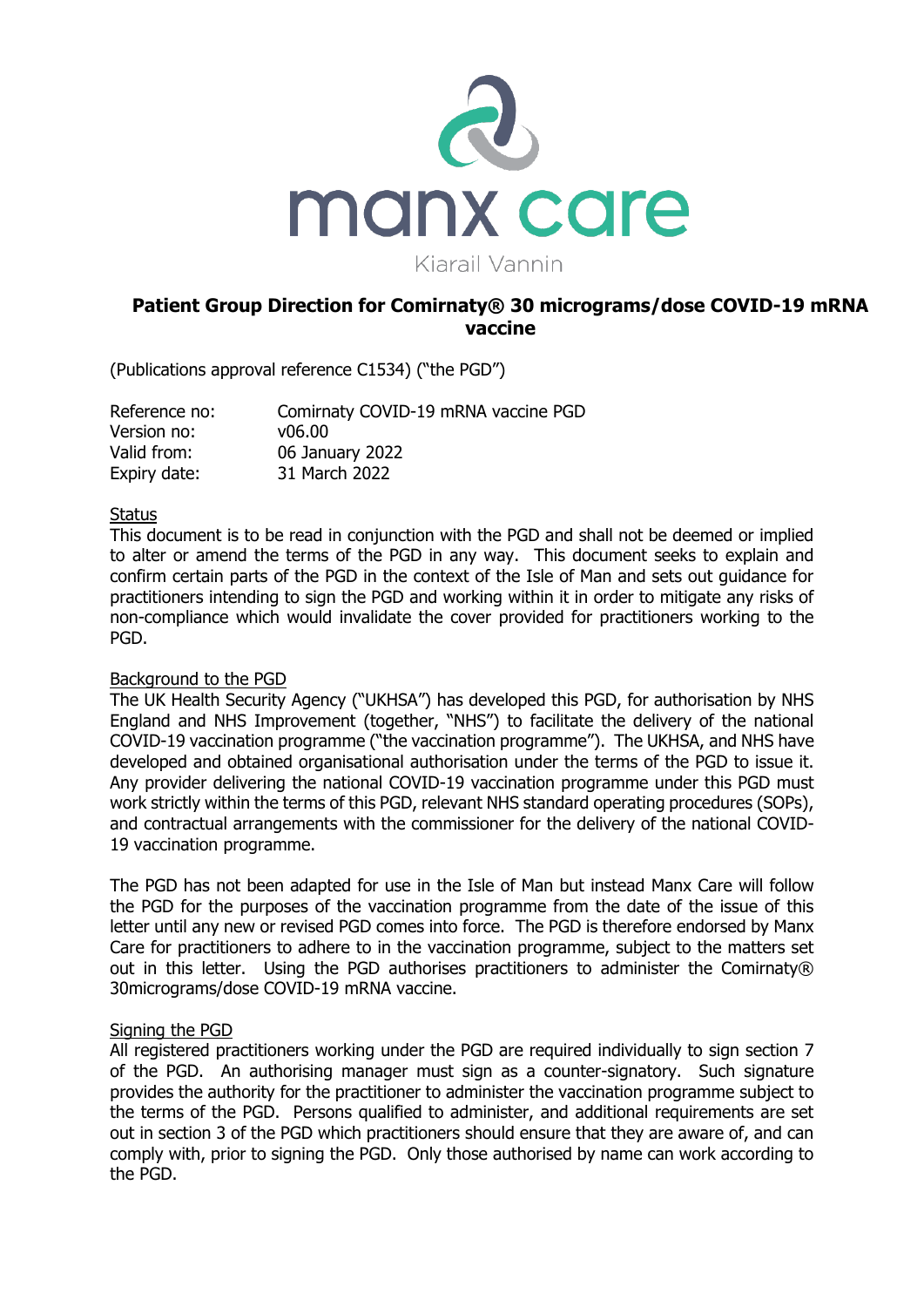

# **Patient Group Direction for Comirnaty® 30 micrograms/dose COVID-19 mRNA vaccine**

(Publications approval reference C1534) ("the PGD")

| Reference no: | Comirnaty COVID-19 mRNA vaccine PGD |
|---------------|-------------------------------------|
| Version no:   | v06.00                              |
| Valid from:   | 06 January 2022                     |
| Expiry date:  | 31 March 2022                       |

## **Status**

This document is to be read in conjunction with the PGD and shall not be deemed or implied to alter or amend the terms of the PGD in any way. This document seeks to explain and confirm certain parts of the PGD in the context of the Isle of Man and sets out guidance for practitioners intending to sign the PGD and working within it in order to mitigate any risks of non-compliance which would invalidate the cover provided for practitioners working to the PGD.

### Background to the PGD

The UK Health Security Agency ("UKHSA") has developed this PGD, for authorisation by NHS England and NHS Improvement (together, "NHS") to facilitate the delivery of the national COVID-19 vaccination programme ("the vaccination programme"). The UKHSA, and NHS have developed and obtained organisational authorisation under the terms of the PGD to issue it. Any provider delivering the national COVID-19 vaccination programme under this PGD must work strictly within the terms of this PGD, relevant NHS standard operating procedures (SOPs), and contractual arrangements with the commissioner for the delivery of the national COVID-19 vaccination programme.

The PGD has not been adapted for use in the Isle of Man but instead Manx Care will follow the PGD for the purposes of the vaccination programme from the date of the issue of this letter until any new or revised PGD comes into force. The PGD is therefore endorsed by Manx Care for practitioners to adhere to in the vaccination programme, subject to the matters set out in this letter. Using the PGD authorises practitioners to administer the Comirnaty® 30micrograms/dose COVID-19 mRNA vaccine.

### Signing the PGD

All registered practitioners working under the PGD are required individually to sign section 7 of the PGD. An authorising manager must sign as a counter-signatory. Such signature provides the authority for the practitioner to administer the vaccination programme subject to the terms of the PGD. Persons qualified to administer, and additional requirements are set out in section 3 of the PGD which practitioners should ensure that they are aware of, and can comply with, prior to signing the PGD. Only those authorised by name can work according to the PGD.